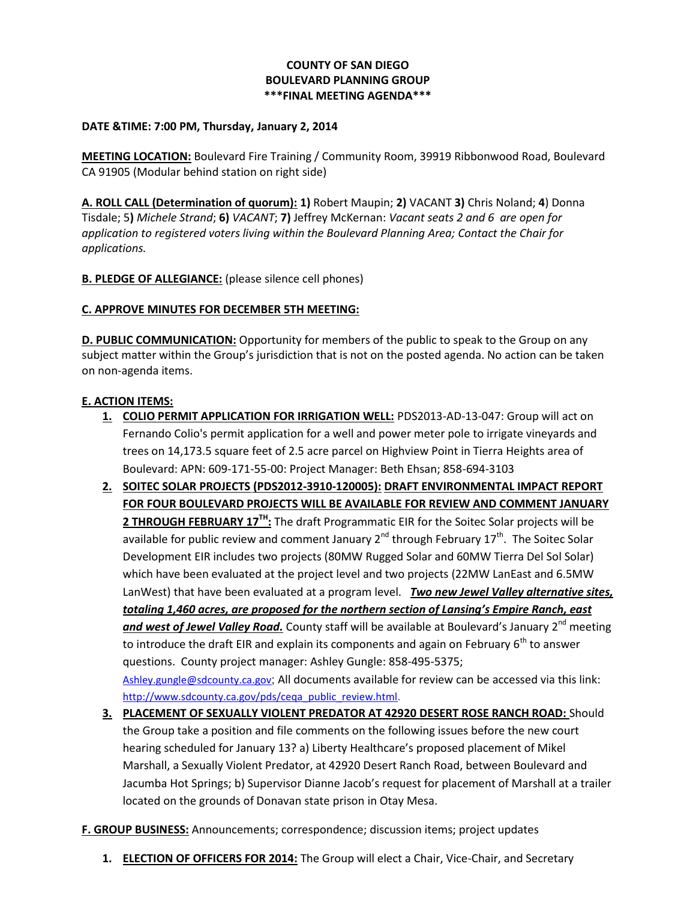## **COUNTY OF SAN DIEGO BOULEVARD PLANNING GROUP \*\*\*FINAL MEETING AGENDA\*\*\***

#### **DATE &TIME: 7:00 PM, Thursday, January 2, 2014**

**MEETING LOCATION:** Boulevard Fire Training / Community Room, 39919 Ribbonwood Road, Boulevard CA 91905 (Modular behind station on right side)

**A. ROLL CALL (Determination of quorum): 1)** Robert Maupin; **2)** VACANT **3)** Chris Noland; **4**) Donna Tisdale; 5**)** *Michele Strand*; **6)** *VACANT*; **7)** Jeffrey McKernan: *Vacant seats 2 and 6 are open for application to registered voters living within the Boulevard Planning Area; Contact the Chair for applications.* 

**B. PLEDGE OF ALLEGIANCE:** (please silence cell phones)

### **C. APPROVE MINUTES FOR DECEMBER 5TH MEETING:**

**D. PUBLIC COMMUNICATION:** Opportunity for members of the public to speak to the Group on any subject matter within the Group's jurisdiction that is not on the posted agenda. No action can be taken on non-agenda items.

### **E. ACTION ITEMS:**

- **1. COLIO PERMIT APPLICATION FOR IRRIGATION WELL:** PDS2013-AD-13-047: Group will act on Fernando Colio's permit application for a well and power meter pole to irrigate vineyards and trees on 14,173.5 square feet of 2.5 acre parcel on Highview Point in Tierra Heights area of Boulevard: APN: 609-171-55-00: Project Manager: Beth Ehsan; 858-694-3103
- **2. SOITEC SOLAR PROJECTS (PDS2012-3910-120005): DRAFT ENVIRONMENTAL IMPACT REPORT FOR FOUR BOULEVARD PROJECTS WILL BE AVAILABLE FOR REVIEW AND COMMENT JANUARY 2 THROUGH FEBRUARY 17TH:** The draft Programmatic EIR for the Soitec Solar projects will be available for public review and comment January 2<sup>nd</sup> through February 17<sup>th</sup>. The Soitec Solar Development EIR includes two projects (80MW Rugged Solar and 60MW Tierra Del Sol Solar) which have been evaluated at the project level and two projects (22MW LanEast and 6.5MW LanWest) that have been evaluated at a program level. *Two new Jewel Valley alternative sites, totaling 1,460 acres, are proposed for the northern section of Lansing's Empire Ranch, east*  and west of Jewel Valley Road. County staff will be available at Boulevard's January 2<sup>nd</sup> meeting to introduce the draft EIR and explain its components and again on February  $6<sup>th</sup>$  to answer questions. County project manager: Ashley Gungle: 858-495-5375; [Ashley.gungle@sdcounty.ca.gov](mailto:Ashley.gungle@sdcounty.ca.gov); All documents available for review can be accessed via this link: [http://www.sdcounty.ca.gov/pds/ceqa\\_public\\_review.html.](http://www.sdcounty.ca.gov/pds/ceqa_public_review.html)
- **3. PLACEMENT OF SEXUALLY VIOLENT PREDATOR AT 42920 DESERT ROSE RANCH ROAD:** Should the Group take a position and file comments on the following issues before the new court hearing scheduled for January 13? a) Liberty Healthcare's proposed placement of Mikel Marshall, a Sexually Violent Predator, at 42920 Desert Ranch Road, between Boulevard and Jacumba Hot Springs; b) Supervisor Dianne Jacob's request for placement of Marshall at a trailer located on the grounds of Donavan state prison in Otay Mesa.
- **F. GROUP BUSINESS:** Announcements; correspondence; discussion items; project updates
	- **1. ELECTION OF OFFICERS FOR 2014:** The Group will elect a Chair, Vice-Chair, and Secretary